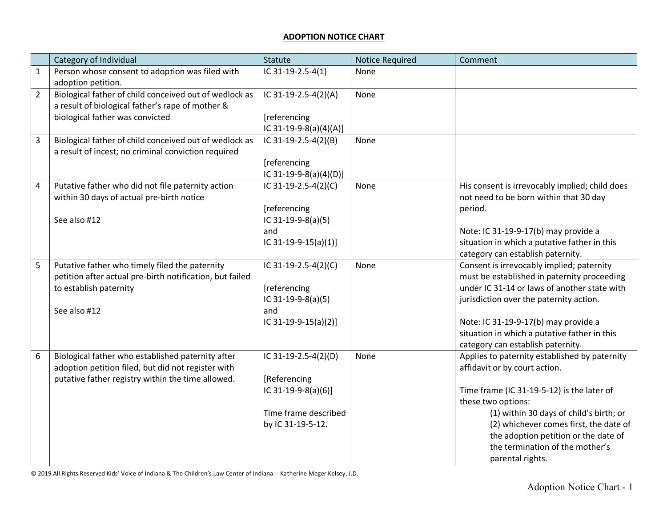## **ADOPTION NOTICE CHART**

|                | Category of Individual                                                                                                                                       | Statute                                                                                                  | <b>Notice Required</b> | Comment                                                                                                                                                                                                                                                                                                                                |
|----------------|--------------------------------------------------------------------------------------------------------------------------------------------------------------|----------------------------------------------------------------------------------------------------------|------------------------|----------------------------------------------------------------------------------------------------------------------------------------------------------------------------------------------------------------------------------------------------------------------------------------------------------------------------------------|
| $\mathbf{1}$   | Person whose consent to adoption was filed with<br>adoption petition.                                                                                        | IC 31-19-2.5-4(1)                                                                                        | None                   |                                                                                                                                                                                                                                                                                                                                        |
| $\overline{2}$ | Biological father of child conceived out of wedlock as<br>a result of biological father's rape of mother &<br>biological father was convicted                | IC 31-19-2.5-4(2)(A)<br>[referencing<br>IC 31-19-9-8(a)(4)(A)]                                           | None                   |                                                                                                                                                                                                                                                                                                                                        |
| 3              | Biological father of child conceived out of wedlock as<br>a result of incest; no criminal conviction required                                                | IC 31-19-2.5-4(2)(B)<br>[referencing<br>IC 31-19-9-8(a)(4)(D)]                                           | None                   |                                                                                                                                                                                                                                                                                                                                        |
| 4              | Putative father who did not file paternity action<br>within 30 days of actual pre-birth notice<br>See also #12                                               | IC 31-19-2.5-4(2)(C)<br>[referencing<br>IC 31-19-9-8(a)(5)<br>and<br>IC 31-19-9-15(a)(1)]                | None                   | His consent is irrevocably implied; child does<br>not need to be born within that 30 day<br>period.<br>Note: IC 31-19-9-17(b) may provide a<br>situation in which a putative father in this<br>category can establish paternity.                                                                                                       |
| 5              | Putative father who timely filed the paternity<br>petition after actual pre-birth notification, but failed<br>to establish paternity<br>See also #12         | IC 31-19-2.5-4(2)(C)<br>[referencing<br>IC 31-19-9-8(a)(5)<br>and<br>IC 31-19-9-15(a)(2)]                | None                   | Consent is irrevocably implied; paternity<br>must be established in paternity proceeding<br>under IC 31-14 or laws of another state with<br>jurisdiction over the paternity action.<br>Note: IC 31-19-9-17(b) may provide a<br>situation in which a putative father in this<br>category can establish paternity.                       |
| 6              | Biological father who established paternity after<br>adoption petition filed, but did not register with<br>putative father registry within the time allowed. | IC 31-19-2.5-4(2)(D)<br>[Referencing<br>IC 31-19-9-8(a)(6)]<br>Time frame described<br>by IC 31-19-5-12. | None                   | Applies to paternity established by paternity<br>affidavit or by court action.<br>Time frame (IC 31-19-5-12) is the later of<br>these two options:<br>(1) within 30 days of child's birth; or<br>(2) whichever comes first, the date of<br>the adoption petition or the date of<br>the termination of the mother's<br>parental rights. |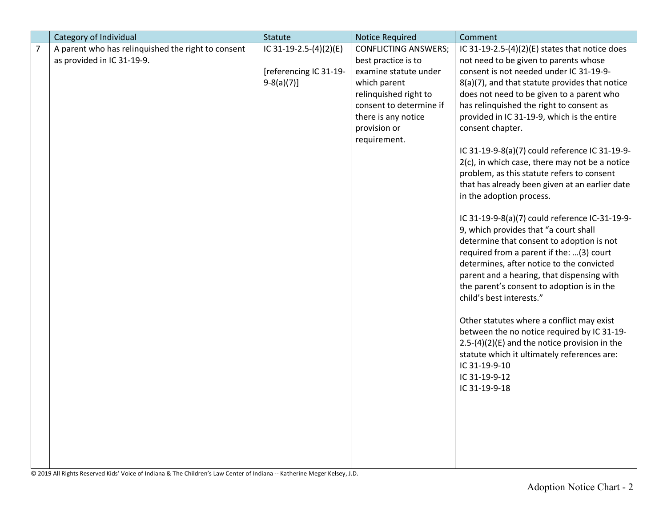|                | Category of Individual                             | <b>Statute</b>         | <b>Notice Required</b>      | Comment                                           |
|----------------|----------------------------------------------------|------------------------|-----------------------------|---------------------------------------------------|
| $\overline{7}$ | A parent who has relinquished the right to consent | IC 31-19-2.5-(4)(2)(E) | <b>CONFLICTING ANSWERS;</b> | IC 31-19-2.5- $(4)(2)(E)$ states that notice does |
|                | as provided in IC 31-19-9.                         |                        | best practice is to         | not need to be given to parents whose             |
|                |                                                    | [referencing IC 31-19- | examine statute under       | consent is not needed under IC 31-19-9-           |
|                |                                                    | $9-8(a)(7)]$           | which parent                | 8(a)(7), and that statute provides that notice    |
|                |                                                    |                        | relinquished right to       | does not need to be given to a parent who         |
|                |                                                    |                        | consent to determine if     | has relinquished the right to consent as          |
|                |                                                    |                        | there is any notice         | provided in IC 31-19-9, which is the entire       |
|                |                                                    |                        | provision or                | consent chapter.                                  |
|                |                                                    |                        | requirement.                |                                                   |
|                |                                                    |                        |                             | IC 31-19-9-8(a)(7) could reference IC 31-19-9-    |
|                |                                                    |                        |                             | $2(c)$ , in which case, there may not be a notice |
|                |                                                    |                        |                             | problem, as this statute refers to consent        |
|                |                                                    |                        |                             | that has already been given at an earlier date    |
|                |                                                    |                        |                             | in the adoption process.                          |
|                |                                                    |                        |                             |                                                   |
|                |                                                    |                        |                             | IC 31-19-9-8(a)(7) could reference IC-31-19-9-    |
|                |                                                    |                        |                             | 9, which provides that "a court shall             |
|                |                                                    |                        |                             | determine that consent to adoption is not         |
|                |                                                    |                        |                             | required from a parent if the: (3) court          |
|                |                                                    |                        |                             | determines, after notice to the convicted         |
|                |                                                    |                        |                             | parent and a hearing, that dispensing with        |
|                |                                                    |                        |                             | the parent's consent to adoption is in the        |
|                |                                                    |                        |                             | child's best interests."                          |
|                |                                                    |                        |                             |                                                   |
|                |                                                    |                        |                             | Other statutes where a conflict may exist         |
|                |                                                    |                        |                             | between the no notice required by IC 31-19-       |
|                |                                                    |                        |                             | $2.5-(4)(2)(E)$ and the notice provision in the   |
|                |                                                    |                        |                             | statute which it ultimately references are:       |
|                |                                                    |                        |                             | IC 31-19-9-10                                     |
|                |                                                    |                        |                             | IC 31-19-9-12                                     |
|                |                                                    |                        |                             | IC 31-19-9-18                                     |
|                |                                                    |                        |                             |                                                   |
|                |                                                    |                        |                             |                                                   |
|                |                                                    |                        |                             |                                                   |
|                |                                                    |                        |                             |                                                   |
|                |                                                    |                        |                             |                                                   |
|                |                                                    |                        |                             |                                                   |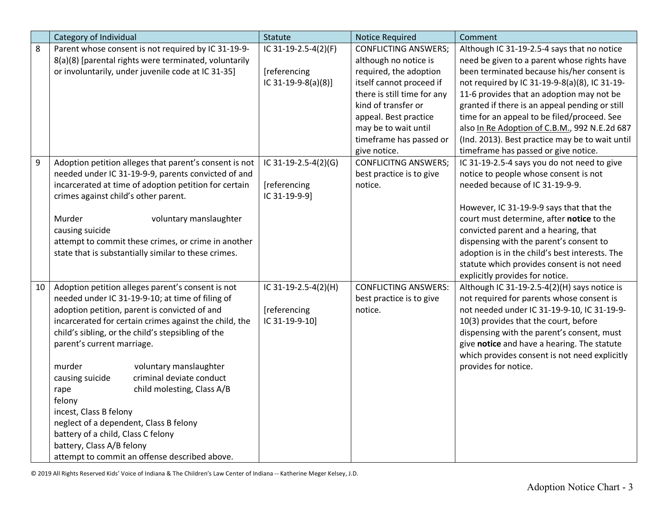|                  | Category of Individual                                 | Statute              | <b>Notice Required</b>      | Comment                                         |
|------------------|--------------------------------------------------------|----------------------|-----------------------------|-------------------------------------------------|
| 8                | Parent whose consent is not required by IC 31-19-9-    | IC 31-19-2.5-4(2)(F) | <b>CONFLICTING ANSWERS;</b> | Although IC 31-19-2.5-4 says that no notice     |
|                  | 8(a)(8) [parental rights were terminated, voluntarily  |                      | although no notice is       | need be given to a parent whose rights have     |
|                  | or involuntarily, under juvenile code at IC 31-35]     | [referencing         | required, the adoption      | been terminated because his/her consent is      |
|                  |                                                        | IC 31-19-9-8(a)(8)]  | itself cannot proceed if    | not required by IC 31-19-9-8(a)(8), IC 31-19-   |
|                  |                                                        |                      | there is still time for any | 11-6 provides that an adoption may not be       |
|                  |                                                        |                      | kind of transfer or         | granted if there is an appeal pending or still  |
|                  |                                                        |                      | appeal. Best practice       | time for an appeal to be filed/proceed. See     |
|                  |                                                        |                      | may be to wait until        | also In Re Adoption of C.B.M., 992 N.E.2d 687   |
|                  |                                                        |                      | timeframe has passed or     | (Ind. 2013). Best practice may be to wait until |
|                  |                                                        |                      | give notice.                | timeframe has passed or give notice.            |
| $\boldsymbol{9}$ | Adoption petition alleges that parent's consent is not | IC 31-19-2.5-4(2)(G) | <b>CONFLICITNG ANSWERS;</b> | IC 31-19-2.5-4 says you do not need to give     |
|                  | needed under IC 31-19-9-9, parents convicted of and    |                      | best practice is to give    | notice to people whose consent is not           |
|                  | incarcerated at time of adoption petition for certain  | [referencing         | notice.                     | needed because of IC 31-19-9-9.                 |
|                  | crimes against child's other parent.                   | IC 31-19-9-9]        |                             |                                                 |
|                  |                                                        |                      |                             | However, IC 31-19-9-9 says that that the        |
|                  | Murder<br>voluntary manslaughter                       |                      |                             | court must determine, after notice to the       |
|                  | causing suicide                                        |                      |                             | convicted parent and a hearing, that            |
|                  | attempt to commit these crimes, or crime in another    |                      |                             | dispensing with the parent's consent to         |
|                  | state that is substantially similar to these crimes.   |                      |                             | adoption is in the child's best interests. The  |
|                  |                                                        |                      |                             | statute which provides consent is not need      |
|                  |                                                        |                      |                             | explicitly provides for notice.                 |
| 10               | Adoption petition alleges parent's consent is not      | IC 31-19-2.5-4(2)(H) | <b>CONFLICTING ANSWERS:</b> | Although IC 31-19-2.5-4(2)(H) says notice is    |
|                  | needed under IC 31-19-9-10; at time of filing of       |                      | best practice is to give    | not required for parents whose consent is       |
|                  | adoption petition, parent is convicted of and          | [referencing         | notice.                     | not needed under IC 31-19-9-10, IC 31-19-9-     |
|                  | incarcerated for certain crimes against the child, the | IC 31-19-9-10]       |                             | 10(3) provides that the court, before           |
|                  | child's sibling, or the child's stepsibling of the     |                      |                             | dispensing with the parent's consent, must      |
|                  | parent's current marriage.                             |                      |                             | give notice and have a hearing. The statute     |
|                  |                                                        |                      |                             | which provides consent is not need explicitly   |
|                  | murder<br>voluntary manslaughter                       |                      |                             | provides for notice.                            |
|                  | criminal deviate conduct<br>causing suicide            |                      |                             |                                                 |
|                  | child molesting, Class A/B<br>rape                     |                      |                             |                                                 |
|                  | felony                                                 |                      |                             |                                                 |
|                  | incest, Class B felony                                 |                      |                             |                                                 |
|                  | neglect of a dependent, Class B felony                 |                      |                             |                                                 |
|                  | battery of a child, Class C felony                     |                      |                             |                                                 |
|                  | battery, Class A/B felony                              |                      |                             |                                                 |
|                  | attempt to commit an offense described above.          |                      |                             |                                                 |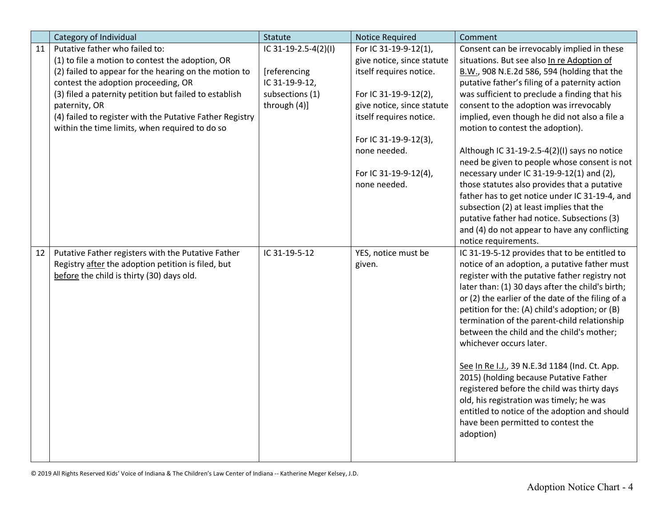|    | Category of Individual                                   | Statute              | <b>Notice Required</b>     | Comment                                           |
|----|----------------------------------------------------------|----------------------|----------------------------|---------------------------------------------------|
| 11 | Putative father who failed to:                           | IC 31-19-2.5-4(2)(I) | For IC 31-19-9-12(1),      | Consent can be irrevocably implied in these       |
|    | (1) to file a motion to contest the adoption, OR         |                      | give notice, since statute | situations. But see also In re Adoption of        |
|    | (2) failed to appear for the hearing on the motion to    | [referencing         | itself requires notice.    | B.W., 908 N.E.2d 586, 594 (holding that the       |
|    | contest the adoption proceeding, OR                      | IC 31-19-9-12,       |                            | putative father's filing of a paternity action    |
|    | (3) filed a paternity petition but failed to establish   | subsections (1)      | For IC 31-19-9-12(2),      | was sufficient to preclude a finding that his     |
|    | paternity, OR                                            | through (4)]         | give notice, since statute | consent to the adoption was irrevocably           |
|    | (4) failed to register with the Putative Father Registry |                      | itself requires notice.    | implied, even though he did not also a file a     |
|    | within the time limits, when required to do so           |                      |                            | motion to contest the adoption).                  |
|    |                                                          |                      | For IC 31-19-9-12(3),      |                                                   |
|    |                                                          |                      | none needed.               | Although IC 31-19-2.5-4(2)(I) says no notice      |
|    |                                                          |                      |                            | need be given to people whose consent is not      |
|    |                                                          |                      | For IC 31-19-9-12(4),      | necessary under IC 31-19-9-12(1) and (2),         |
|    |                                                          |                      | none needed.               | those statutes also provides that a putative      |
|    |                                                          |                      |                            | father has to get notice under IC 31-19-4, and    |
|    |                                                          |                      |                            | subsection (2) at least implies that the          |
|    |                                                          |                      |                            | putative father had notice. Subsections (3)       |
|    |                                                          |                      |                            | and (4) do not appear to have any conflicting     |
|    |                                                          |                      |                            | notice requirements.                              |
| 12 | Putative Father registers with the Putative Father       | IC 31-19-5-12        | YES, notice must be        | IC 31-19-5-12 provides that to be entitled to     |
|    | Registry after the adoption petition is filed, but       |                      | given.                     | notice of an adoption, a putative father must     |
|    | before the child is thirty (30) days old.                |                      |                            | register with the putative father registry not    |
|    |                                                          |                      |                            | later than: (1) 30 days after the child's birth;  |
|    |                                                          |                      |                            | or (2) the earlier of the date of the filing of a |
|    |                                                          |                      |                            | petition for the: (A) child's adoption; or (B)    |
|    |                                                          |                      |                            | termination of the parent-child relationship      |
|    |                                                          |                      |                            | between the child and the child's mother;         |
|    |                                                          |                      |                            | whichever occurs later.                           |
|    |                                                          |                      |                            |                                                   |
|    |                                                          |                      |                            | See In Re I.J., 39 N.E.3d 1184 (Ind. Ct. App.     |
|    |                                                          |                      |                            | 2015) (holding because Putative Father            |
|    |                                                          |                      |                            | registered before the child was thirty days       |
|    |                                                          |                      |                            | old, his registration was timely; he was          |
|    |                                                          |                      |                            | entitled to notice of the adoption and should     |
|    |                                                          |                      |                            | have been permitted to contest the                |
|    |                                                          |                      |                            | adoption)                                         |
|    |                                                          |                      |                            |                                                   |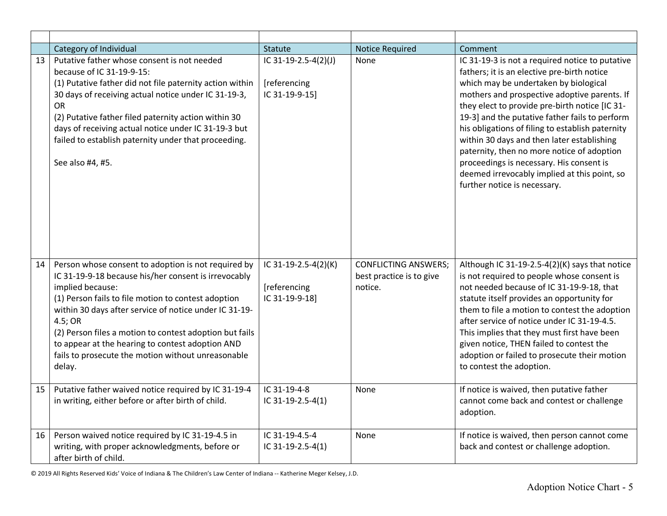|    | Category of Individual                                                                                                                                                                                                                                                                                                                                                                                                                     | Statute                                                | <b>Notice Required</b>                                             | Comment                                                                                                                                                                                                                                                                                                                                                                                                                                                                                                                                                                 |
|----|--------------------------------------------------------------------------------------------------------------------------------------------------------------------------------------------------------------------------------------------------------------------------------------------------------------------------------------------------------------------------------------------------------------------------------------------|--------------------------------------------------------|--------------------------------------------------------------------|-------------------------------------------------------------------------------------------------------------------------------------------------------------------------------------------------------------------------------------------------------------------------------------------------------------------------------------------------------------------------------------------------------------------------------------------------------------------------------------------------------------------------------------------------------------------------|
| 13 | Putative father whose consent is not needed<br>because of IC 31-19-9-15:<br>(1) Putative father did not file paternity action within<br>30 days of receiving actual notice under IC 31-19-3,<br><b>OR</b><br>(2) Putative father filed paternity action within 30<br>days of receiving actual notice under IC 31-19-3 but<br>failed to establish paternity under that proceeding.<br>See also #4, #5.                                      | IC 31-19-2.5-4(2)(J)<br>[referencing<br>IC 31-19-9-15] | None                                                               | IC 31-19-3 is not a required notice to putative<br>fathers; it is an elective pre-birth notice<br>which may be undertaken by biological<br>mothers and prospective adoptive parents. If<br>they elect to provide pre-birth notice [IC 31-<br>19-3] and the putative father fails to perform<br>his obligations of filing to establish paternity<br>within 30 days and then later establishing<br>paternity, then no more notice of adoption<br>proceedings is necessary. His consent is<br>deemed irrevocably implied at this point, so<br>further notice is necessary. |
| 14 | Person whose consent to adoption is not required by<br>IC 31-19-9-18 because his/her consent is irrevocably<br>implied because:<br>(1) Person fails to file motion to contest adoption<br>within 30 days after service of notice under IC 31-19-<br>4.5; OR<br>(2) Person files a motion to contest adoption but fails<br>to appear at the hearing to contest adoption AND<br>fails to prosecute the motion without unreasonable<br>delay. | IC 31-19-2.5-4(2)(K)<br>[referencing<br>IC 31-19-9-18] | <b>CONFLICTING ANSWERS;</b><br>best practice is to give<br>notice. | Although IC 31-19-2.5-4(2)(K) says that notice<br>is not required to people whose consent is<br>not needed because of IC 31-19-9-18, that<br>statute itself provides an opportunity for<br>them to file a motion to contest the adoption<br>after service of notice under IC 31-19-4.5.<br>This implies that they must first have been<br>given notice, THEN failed to contest the<br>adoption or failed to prosecute their motion<br>to contest the adoption.                                                                                                          |
| 15 | Putative father waived notice required by IC 31-19-4<br>in writing, either before or after birth of child.                                                                                                                                                                                                                                                                                                                                 | IC 31-19-4-8<br>IC 31-19-2.5-4(1)                      | None                                                               | If notice is waived, then putative father<br>cannot come back and contest or challenge<br>adoption.                                                                                                                                                                                                                                                                                                                                                                                                                                                                     |
| 16 | Person waived notice required by IC 31-19-4.5 in<br>writing, with proper acknowledgments, before or<br>after birth of child.                                                                                                                                                                                                                                                                                                               | IC 31-19-4.5-4<br>IC 31-19-2.5-4(1)                    | None                                                               | If notice is waived, then person cannot come<br>back and contest or challenge adoption.                                                                                                                                                                                                                                                                                                                                                                                                                                                                                 |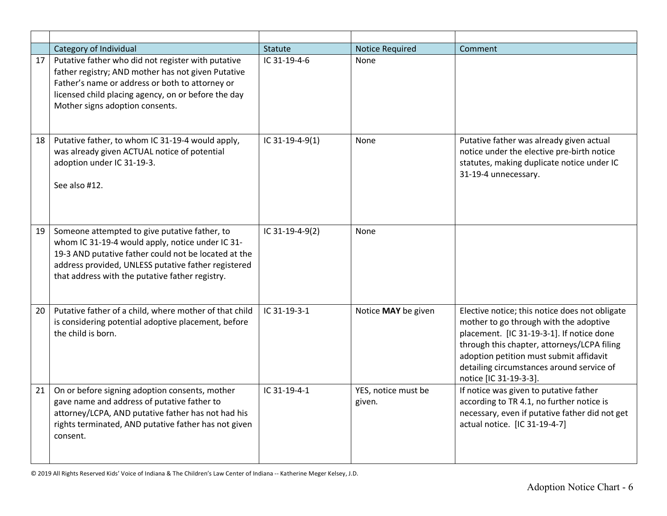|    | Category of Individual                                                                                                                                                                                                                                              | Statute         | <b>Notice Required</b>        | Comment                                                                                                                                                                                                                                                                                                |
|----|---------------------------------------------------------------------------------------------------------------------------------------------------------------------------------------------------------------------------------------------------------------------|-----------------|-------------------------------|--------------------------------------------------------------------------------------------------------------------------------------------------------------------------------------------------------------------------------------------------------------------------------------------------------|
| 17 | Putative father who did not register with putative<br>father registry; AND mother has not given Putative<br>Father's name or address or both to attorney or<br>licensed child placing agency, on or before the day<br>Mother signs adoption consents.               | IC 31-19-4-6    | None                          |                                                                                                                                                                                                                                                                                                        |
| 18 | Putative father, to whom IC 31-19-4 would apply,<br>was already given ACTUAL notice of potential<br>adoption under IC 31-19-3.<br>See also #12.                                                                                                                     | IC 31-19-4-9(1) | None                          | Putative father was already given actual<br>notice under the elective pre-birth notice<br>statutes, making duplicate notice under IC<br>31-19-4 unnecessary.                                                                                                                                           |
| 19 | Someone attempted to give putative father, to<br>whom IC 31-19-4 would apply, notice under IC 31-<br>19-3 AND putative father could not be located at the<br>address provided, UNLESS putative father registered<br>that address with the putative father registry. | IC 31-19-4-9(2) | None                          |                                                                                                                                                                                                                                                                                                        |
| 20 | Putative father of a child, where mother of that child<br>is considering potential adoptive placement, before<br>the child is born.                                                                                                                                 | $IC.31-19-3-1$  | Notice MAY be given           | Elective notice; this notice does not obligate<br>mother to go through with the adoptive<br>placement. [IC 31-19-3-1]. If notice done<br>through this chapter, attorneys/LCPA filing<br>adoption petition must submit affidavit<br>detailing circumstances around service of<br>notice [IC 31-19-3-3]. |
| 21 | On or before signing adoption consents, mother<br>gave name and address of putative father to<br>attorney/LCPA, AND putative father has not had his<br>rights terminated, AND putative father has not given<br>consent.                                             | IC 31-19-4-1    | YES, notice must be<br>given. | If notice was given to putative father<br>according to TR 4.1, no further notice is<br>necessary, even if putative father did not get<br>actual notice. [IC 31-19-4-7]                                                                                                                                 |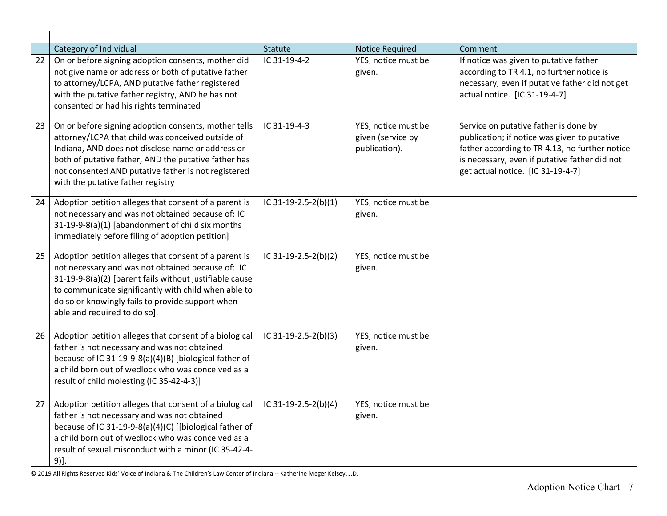|    | Category of Individual                                                                                                                                                                                                                                                                                             | <b>Statute</b>       | <b>Notice Required</b>                                    | Comment                                                                                                                                                                                                                       |
|----|--------------------------------------------------------------------------------------------------------------------------------------------------------------------------------------------------------------------------------------------------------------------------------------------------------------------|----------------------|-----------------------------------------------------------|-------------------------------------------------------------------------------------------------------------------------------------------------------------------------------------------------------------------------------|
| 22 | On or before signing adoption consents, mother did<br>not give name or address or both of putative father<br>to attorney/LCPA, AND putative father registered<br>with the putative father registry, AND he has not<br>consented or had his rights terminated                                                       | IC 31-19-4-2         | YES, notice must be<br>given.                             | If notice was given to putative father<br>according to TR 4.1, no further notice is<br>necessary, even if putative father did not get<br>actual notice. [IC 31-19-4-7]                                                        |
| 23 | On or before signing adoption consents, mother tells<br>attorney/LCPA that child was conceived outside of<br>Indiana, AND does not disclose name or address or<br>both of putative father, AND the putative father has<br>not consented AND putative father is not registered<br>with the putative father registry | IC 31-19-4-3         | YES, notice must be<br>given (service by<br>publication). | Service on putative father is done by<br>publication; if notice was given to putative<br>father according to TR 4.13, no further notice<br>is necessary, even if putative father did not<br>get actual notice. [IC 31-19-4-7] |
| 24 | Adoption petition alleges that consent of a parent is<br>not necessary and was not obtained because of: IC<br>31-19-9-8(a)(1) [abandonment of child six months<br>immediately before filing of adoption petition]                                                                                                  | IC 31-19-2.5-2(b)(1) | YES, notice must be<br>given.                             |                                                                                                                                                                                                                               |
| 25 | Adoption petition alleges that consent of a parent is<br>not necessary and was not obtained because of: IC<br>31-19-9-8(a)(2) [parent fails without justifiable cause<br>to communicate significantly with child when able to<br>do so or knowingly fails to provide support when<br>able and required to do so].  | IC 31-19-2.5-2(b)(2) | YES, notice must be<br>given.                             |                                                                                                                                                                                                                               |
| 26 | Adoption petition alleges that consent of a biological<br>father is not necessary and was not obtained<br>because of IC 31-19-9-8(a)(4)(B) [biological father of<br>a child born out of wedlock who was conceived as a<br>result of child molesting (IC 35-42-4-3)]                                                | IC 31-19-2.5-2(b)(3) | YES, notice must be<br>given.                             |                                                                                                                                                                                                                               |
| 27 | Adoption petition alleges that consent of a biological<br>father is not necessary and was not obtained<br>because of IC 31-19-9-8(a)(4)(C) [[biological father of<br>a child born out of wedlock who was conceived as a<br>result of sexual misconduct with a minor (IC 35-42-4-<br>9)].                           | IC 31-19-2.5-2(b)(4) | YES, notice must be<br>given.                             |                                                                                                                                                                                                                               |